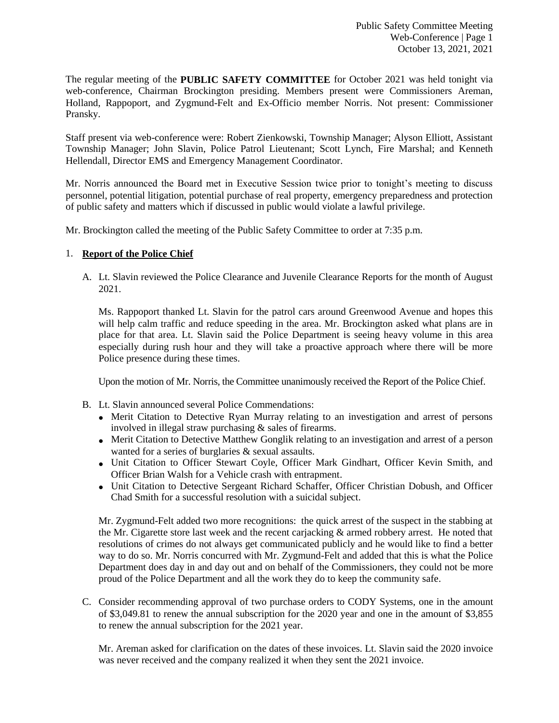The regular meeting of the **PUBLIC SAFETY COMMITTEE** for October 2021 was held tonight via web-conference, Chairman Brockington presiding. Members present were Commissioners Areman, Holland, Rappoport, and Zygmund-Felt and Ex-Officio member Norris. Not present: Commissioner Pransky.

Staff present via web-conference were: Robert Zienkowski, Township Manager; Alyson Elliott, Assistant Township Manager; John Slavin, Police Patrol Lieutenant; Scott Lynch, Fire Marshal; and Kenneth Hellendall, Director EMS and Emergency Management Coordinator.

Mr. Norris announced the Board met in Executive Session twice prior to tonight's meeting to discuss personnel, potential litigation, potential purchase of real property, emergency preparedness and protection of public safety and matters which if discussed in public would violate a lawful privilege.

Mr. Brockington called the meeting of the Public Safety Committee to order at 7:35 p.m.

# 1. **Report of the Police Chief**

A. Lt. Slavin reviewed the Police Clearance and Juvenile Clearance Reports for the month of August 2021.

Ms. Rappoport thanked Lt. Slavin for the patrol cars around Greenwood Avenue and hopes this will help calm traffic and reduce speeding in the area. Mr. Brockington asked what plans are in place for that area. Lt. Slavin said the Police Department is seeing heavy volume in this area especially during rush hour and they will take a proactive approach where there will be more Police presence during these times.

Upon the motion of Mr. Norris, the Committee unanimously received the Report of the Police Chief.

- B. Lt. Slavin announced several Police Commendations:
	- Merit Citation to Detective Ryan Murray relating to an investigation and arrest of persons involved in illegal straw purchasing & sales of firearms.
	- Merit Citation to Detective Matthew Gonglik relating to an investigation and arrest of a person wanted for a series of burglaries & sexual assaults.
	- Unit Citation to Officer Stewart Coyle, Officer Mark Gindhart, Officer Kevin Smith, and Officer Brian Walsh for a Vehicle crash with entrapment.
	- Unit Citation to Detective Sergeant Richard Schaffer, Officer Christian Dobush, and Officer Chad Smith for a successful resolution with a suicidal subject.

Mr. Zygmund-Felt added two more recognitions: the quick arrest of the suspect in the stabbing at the Mr. Cigarette store last week and the recent carjacking & armed robbery arrest. He noted that resolutions of crimes do not always get communicated publicly and he would like to find a better way to do so. Mr. Norris concurred with Mr. Zygmund-Felt and added that this is what the Police Department does day in and day out and on behalf of the Commissioners, they could not be more proud of the Police Department and all the work they do to keep the community safe.

C. Consider recommending approval of two purchase orders to CODY Systems, one in the amount of \$3,049.81 to renew the annual subscription for the 2020 year and one in the amount of \$3,855 to renew the annual subscription for the 2021 year.

Mr. Areman asked for clarification on the dates of these invoices. Lt. Slavin said the 2020 invoice was never received and the company realized it when they sent the 2021 invoice.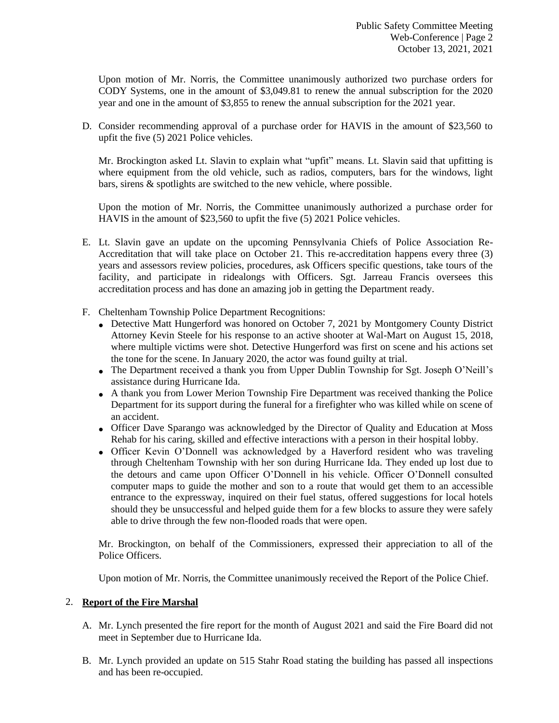Upon motion of Mr. Norris, the Committee unanimously authorized two purchase orders for CODY Systems, one in the amount of \$3,049.81 to renew the annual subscription for the 2020 year and one in the amount of \$3,855 to renew the annual subscription for the 2021 year.

D. Consider recommending approval of a purchase order for HAVIS in the amount of \$23,560 to upfit the five (5) 2021 Police vehicles.

Mr. Brockington asked Lt. Slavin to explain what "upfit" means. Lt. Slavin said that upfitting is where equipment from the old vehicle, such as radios, computers, bars for the windows, light bars, sirens & spotlights are switched to the new vehicle, where possible.

Upon the motion of Mr. Norris, the Committee unanimously authorized a purchase order for HAVIS in the amount of \$23,560 to upfit the five (5) 2021 Police vehicles.

- E. Lt. Slavin gave an update on the upcoming Pennsylvania Chiefs of Police Association Re-Accreditation that will take place on October 21. This re-accreditation happens every three (3) years and assessors review policies, procedures, ask Officers specific questions, take tours of the facility, and participate in ridealongs with Officers. Sgt. Jarreau Francis oversees this accreditation process and has done an amazing job in getting the Department ready.
- F. Cheltenham Township Police Department Recognitions:
	- Detective Matt Hungerford was honored on October 7, 2021 by Montgomery County District Attorney Kevin Steele for his response to an active shooter at Wal-Mart on August 15, 2018, where multiple victims were shot. Detective Hungerford was first on scene and his actions set the tone for the scene. In January 2020, the actor was found guilty at trial.
	- The Department received a thank you from Upper Dublin Township for Sgt. Joseph O'Neill's assistance during Hurricane Ida.
	- A thank you from Lower Merion Township Fire Department was received thanking the Police Department for its support during the funeral for a firefighter who was killed while on scene of an accident.
	- Officer Dave Sparango was acknowledged by the Director of Quality and Education at Moss Rehab for his caring, skilled and effective interactions with a person in their hospital lobby.
	- Officer Kevin O'Donnell was acknowledged by a Haverford resident who was traveling through Cheltenham Township with her son during Hurricane Ida. They ended up lost due to the detours and came upon Officer O'Donnell in his vehicle. Officer O'Donnell consulted computer maps to guide the mother and son to a route that would get them to an accessible entrance to the expressway, inquired on their fuel status, offered suggestions for local hotels should they be unsuccessful and helped guide them for a few blocks to assure they were safely able to drive through the few non-flooded roads that were open.

Mr. Brockington, on behalf of the Commissioners, expressed their appreciation to all of the Police Officers.

Upon motion of Mr. Norris, the Committee unanimously received the Report of the Police Chief.

## 2. **Report of the Fire Marshal**

- A. Mr. Lynch presented the fire report for the month of August 2021 and said the Fire Board did not meet in September due to Hurricane Ida.
- B. Mr. Lynch provided an update on 515 Stahr Road stating the building has passed all inspections and has been re-occupied.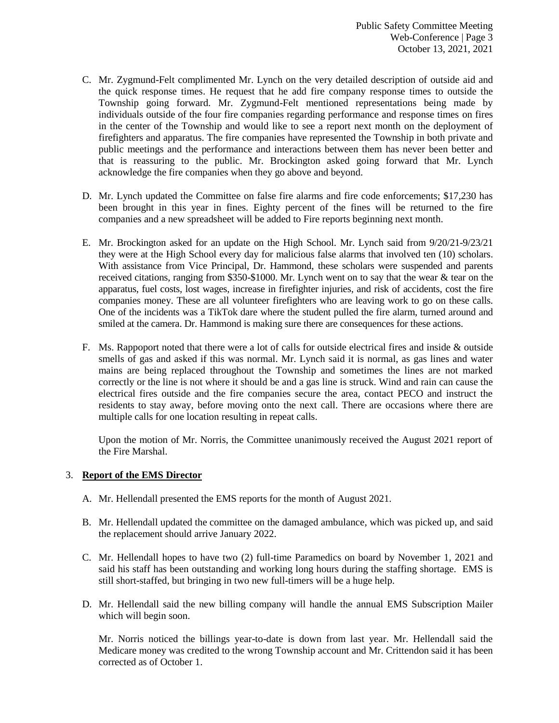- C. Mr. Zygmund-Felt complimented Mr. Lynch on the very detailed description of outside aid and the quick response times. He request that he add fire company response times to outside the Township going forward. Mr. Zygmund-Felt mentioned representations being made by individuals outside of the four fire companies regarding performance and response times on fires in the center of the Township and would like to see a report next month on the deployment of firefighters and apparatus. The fire companies have represented the Township in both private and public meetings and the performance and interactions between them has never been better and that is reassuring to the public. Mr. Brockington asked going forward that Mr. Lynch acknowledge the fire companies when they go above and beyond.
- D. Mr. Lynch updated the Committee on false fire alarms and fire code enforcements; \$17,230 has been brought in this year in fines. Eighty percent of the fines will be returned to the fire companies and a new spreadsheet will be added to Fire reports beginning next month.
- E. Mr. Brockington asked for an update on the High School. Mr. Lynch said from 9/20/21-9/23/21 they were at the High School every day for malicious false alarms that involved ten (10) scholars. With assistance from Vice Principal, Dr. Hammond, these scholars were suspended and parents received citations, ranging from \$350-\$1000. Mr. Lynch went on to say that the wear & tear on the apparatus, fuel costs, lost wages, increase in firefighter injuries, and risk of accidents, cost the fire companies money. These are all volunteer firefighters who are leaving work to go on these calls. One of the incidents was a TikTok dare where the student pulled the fire alarm, turned around and smiled at the camera. Dr. Hammond is making sure there are consequences for these actions.
- F. Ms. Rappoport noted that there were a lot of calls for outside electrical fires and inside & outside smells of gas and asked if this was normal. Mr. Lynch said it is normal, as gas lines and water mains are being replaced throughout the Township and sometimes the lines are not marked correctly or the line is not where it should be and a gas line is struck. Wind and rain can cause the electrical fires outside and the fire companies secure the area, contact PECO and instruct the residents to stay away, before moving onto the next call. There are occasions where there are multiple calls for one location resulting in repeat calls.

Upon the motion of Mr. Norris, the Committee unanimously received the August 2021 report of the Fire Marshal.

## 3. **Report of the EMS Director**

- A. Mr. Hellendall presented the EMS reports for the month of August 2021.
- B. Mr. Hellendall updated the committee on the damaged ambulance, which was picked up, and said the replacement should arrive January 2022.
- C. Mr. Hellendall hopes to have two (2) full-time Paramedics on board by November 1, 2021 and said his staff has been outstanding and working long hours during the staffing shortage. EMS is still short-staffed, but bringing in two new full-timers will be a huge help.
- D. Mr. Hellendall said the new billing company will handle the annual EMS Subscription Mailer which will begin soon.

Mr. Norris noticed the billings year-to-date is down from last year. Mr. Hellendall said the Medicare money was credited to the wrong Township account and Mr. Crittendon said it has been corrected as of October 1.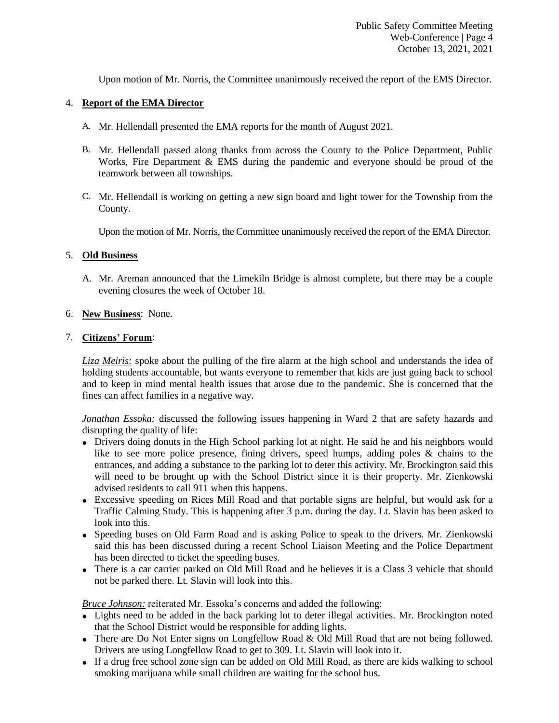Upon motion of Mr. Norris, the Committee unanimously received the report of the EMS Director.

## 4. **Report of the EMA Director**

- A. Mr. Hellendall presented the EMA reports for the month of August 2021.
- B. Mr. Hellendall passed along thanks from across the County to the Police Department, Public Works, Fire Department & EMS during the pandemic and everyone should be proud of the teamwork between all townships.
- C. Mr. Hellendall is working on getting a new sign board and light tower for the Township from the County.

Upon the motion of Mr. Norris, the Committee unanimously received the report of the EMA Director.

# 5. **Old Business**

A. Mr. Areman announced that the Limekiln Bridge is almost complete, but there may be a couple evening closures the week of October 18.

# 6. **New Business**: None.

## 7. **Citizens' Forum**:

*Liza Meiris:* spoke about the pulling of the fire alarm at the high school and understands the idea of holding students accountable, but wants everyone to remember that kids are just going back to school and to keep in mind mental health issues that arose due to the pandemic. She is concerned that the fines can affect families in a negative way.

*Jonathan Essoka:* discussed the following issues happening in Ward 2 that are safety hazards and disrupting the quality of life:

- Drivers doing donuts in the High School parking lot at night. He said he and his neighbors would like to see more police presence, fining drivers, speed humps, adding poles & chains to the entrances, and adding a substance to the parking lot to deter this activity. Mr. Brockington said this will need to be brought up with the School District since it is their property. Mr. Zienkowski advised residents to call 911 when this happens.
- Excessive speeding on Rices Mill Road and that portable signs are helpful, but would ask for a Traffic Calming Study. This is happening after 3 p.m. during the day. Lt. Slavin has been asked to look into this.
- Speeding buses on Old Farm Road and is asking Police to speak to the drivers. Mr. Zienkowski said this has been discussed during a recent School Liaison Meeting and the Police Department has been directed to ticket the speeding buses.
- There is a car carrier parked on Old Mill Road and he believes it is a Class 3 vehicle that should not be parked there. Lt. Slavin will look into this.

*Bruce Johnson:* reiterated Mr. Essoka's concerns and added the following:

- Lights need to be added in the back parking lot to deter illegal activities. Mr. Brockington noted that the School District would be responsible for adding lights.
- There are Do Not Enter signs on Longfellow Road & Old Mill Road that are not being followed. Drivers are using Longfellow Road to get to 309. Lt. Slavin will look into it.
- If a drug free school zone sign can be added on Old Mill Road, as there are kids walking to school smoking marijuana while small children are waiting for the school bus.